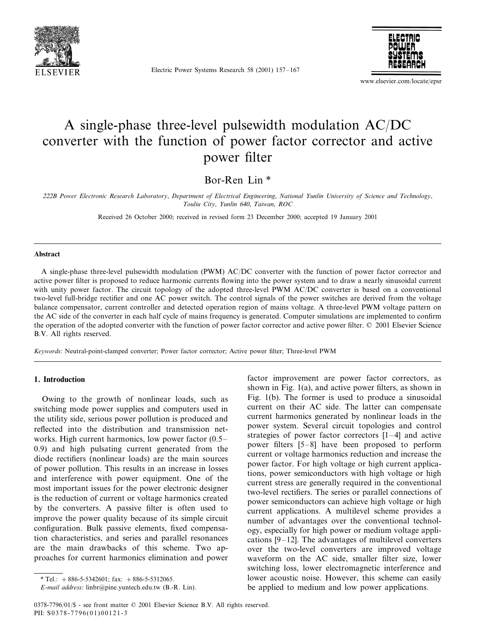

Electric Power Systems Research 58 (2001) 157–167



www.elsevier.com/locate/epsr

# A single-phase three-level pulsewidth modulation AC/DC converter with the function of power factor corrector and active power filter

Bor-Ren Lin \*

<sup>222</sup>*B Power Electronic Research Laboratory*, *Department of Electrical Engineering*, *National Yunlin Uniersity of Science and Technology*, *Touliu City*, *Yunlin* 640, *Taiwan*, *ROC*

Received 26 October 2000; received in revised form 23 December 2000; accepted 19 January 2001

#### **Abstract**

A single-phase three-level pulsewidth modulation (PWM) AC/DC converter with the function of power factor corrector and active power filter is proposed to reduce harmonic currents flowing into the power system and to draw a nearly sinusoidal current with unity power factor. The circuit topology of the adopted three-level PWM AC/DC converter is based on a conventional two-level full-bridge rectifier and one AC power switch. The control signals of the power switches are derived from the voltage balance compensator, current controller and detected operation region of mains voltage. A three-level PWM voltage pattern on the AC side of the converter in each half cycle of mains frequency is generated. Computer simulations are implemented to confirm the operation of the adopted converter with the function of power factor corrector and active power filter. © 2001 Elsevier Science B.V. All rights reserved.

*Keywords*: Neutral-point-clamped converter; Power factor corrector; Active power filter; Three-level PWM

### **1. Introduction**

Owing to the growth of nonlinear loads, such as switching mode power supplies and computers used in the utility side, serious power pollution is produced and reflected into the distribution and transmission networks. High current harmonics, low power factor (0.5– 0.9) and high pulsating current generated from the diode rectifiers (nonlinear loads) are the main sources of power pollution. This results in an increase in losses and interference with power equipment. One of the most important issues for the power electronic designer is the reduction of current or voltage harmonics created by the converters. A passive filter is often used to improve the power quality because of its simple circuit configuration. Bulk passive elements, fixed compensation characteristics, and series and parallel resonances are the main drawbacks of this scheme. Two approaches for current harmonics elimination and power

factor improvement are power factor correctors, as shown in Fig. 1(a), and active power filters, as shown in Fig. 1(b). The former is used to produce a sinusoidal current on their AC side. The latter can compensate current harmonics generated by nonlinear loads in the power system. Several circuit topologies and control strategies of power factor correctors [1–4] and active power filters [5–8] have been proposed to perform current or voltage harmonics reduction and increase the power factor. For high voltage or high current applications, power semiconductors with high voltage or high current stress are generally required in the conventional two-level rectifiers. The series or parallel connections of power semiconductors can achieve high voltage or high current applications. A multilevel scheme provides a number of advantages over the conventional technology, especially for high power or medium voltage applications [9–12]. The advantages of multilevel converters over the two-level converters are improved voltage waveform on the AC side, smaller filter size, lower switching loss, lower electromagnetic interference and lower acoustic noise. However, this scheme can easily be applied to medium and low power applications.

 $*$  Tel.:  $+886-5-5342601$ ; fax:  $+886-5-5312065$ .

*E*-*mail address*: linbr@pine.yuntech.edu.tw (B.-R. Lin).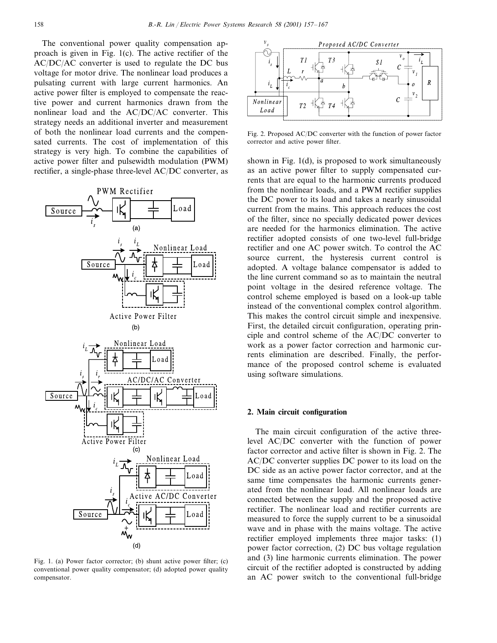The conventional power quality compensation approach is given in Fig. 1(c). The active rectifier of the AC/DC/AC converter is used to regulate the DC bus voltage for motor drive. The nonlinear load produces a pulsating current with large current harmonics. An active power filter is employed to compensate the reactive power and current harmonics drawn from the nonlinear load and the AC/DC/AC converter. This strategy needs an additional inverter and measurement of both the nonlinear load currents and the compensated currents. The cost of implementation of this strategy is very high. To combine the capabilities of active power filter and pulsewidth modulation (PWM) rectifier, a single-phase three-level AC/DC converter, as



Fig. 1. (a) Power factor corrector; (b) shunt active power filter; (c) conventional power quality compensator; (d) adopted power quality compensator.



Fig. 2. Proposed AC/DC converter with the function of power factor corrector and active power filter.

shown in Fig. 1(d), is proposed to work simultaneously as an active power filter to supply compensated currents that are equal to the harmonic currents produced from the nonlinear loads, and a PWM rectifier supplies the DC power to its load and takes a nearly sinusoidal current from the mains. This approach reduces the cost of the filter, since no specially dedicated power devices are needed for the harmonics elimination. The active rectifier adopted consists of one two-level full-bridge rectifier and one AC power switch. To control the AC source current, the hysteresis current control is adopted. A voltage balance compensator is added to the line current command so as to maintain the neutral point voltage in the desired reference voltage. The control scheme employed is based on a look-up table instead of the conventional complex control algorithm. This makes the control circuit simple and inexpensive. First, the detailed circuit configuration, operating principle and control scheme of the AC/DC converter to work as a power factor correction and harmonic currents elimination are described. Finally, the performance of the proposed control scheme is evaluated using software simulations.

### **2. Main circuit configuration**

The main circuit configuration of the active threelevel AC/DC converter with the function of power factor corrector and active filter is shown in Fig. 2. The AC/DC converter supplies DC power to its load on the DC side as an active power factor corrector, and at the same time compensates the harmonic currents generated from the nonlinear load. All nonlinear loads are connected between the supply and the proposed active rectifier. The nonlinear load and rectifier currents are measured to force the supply current to be a sinusoidal wave and in phase with the mains voltage. The active rectifier employed implements three major tasks: (1) power factor correction, (2) DC bus voltage regulation and (3) line harmonic currents elimination. The power circuit of the rectifier adopted is constructed by adding an AC power switch to the conventional full-bridge